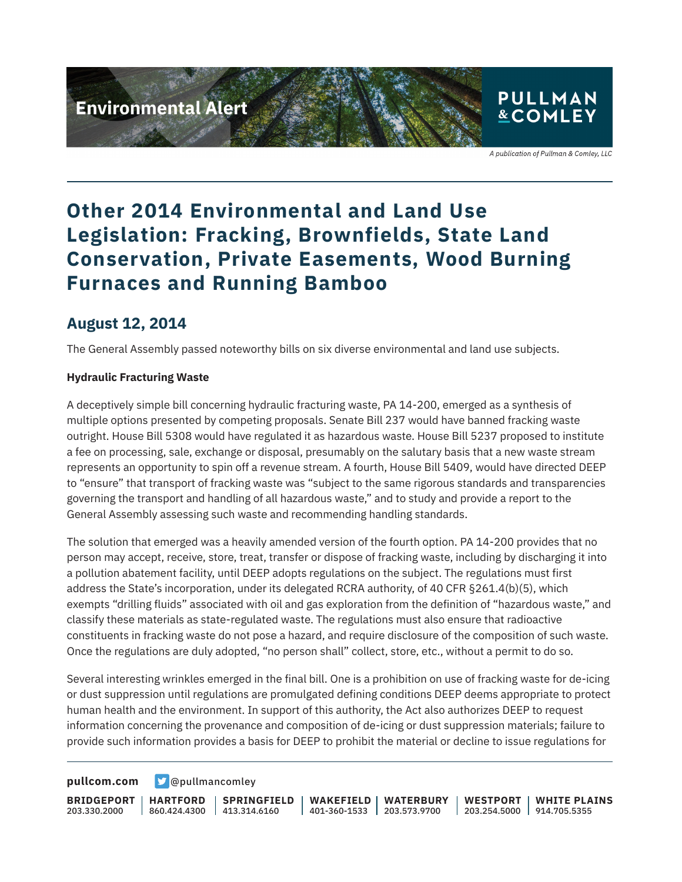# **Environmental Alert**



A publication of Pullman & Comley, LLC

## **Other 2014 Environmental and Land Use Legislation: Fracking, Brownfields, State Land Conservation, Private Easements, Wood Burning Furnaces and Running Bamboo**

### **August 12, 2014**

The General Assembly passed noteworthy bills on six diverse environmental and land use subjects.

#### **Hydraulic Fracturing Waste**

A deceptively simple bill concerning hydraulic fracturing waste, PA 14-200, emerged as a synthesis of multiple options presented by competing proposals. Senate Bill 237 would have banned fracking waste outright. House Bill 5308 would have regulated it as hazardous waste. House Bill 5237 proposed to institute a fee on processing, sale, exchange or disposal, presumably on the salutary basis that a new waste stream represents an opportunity to spin off a revenue stream. A fourth, House Bill 5409, would have directed DEEP to "ensure" that transport of fracking waste was "subject to the same rigorous standards and transparencies governing the transport and handling of all hazardous waste," and to study and provide a report to the General Assembly assessing such waste and recommending handling standards.

The solution that emerged was a heavily amended version of the fourth option. PA 14-200 provides that no person may accept, receive, store, treat, transfer or dispose of fracking waste, including by discharging it into a pollution abatement facility, until DEEP adopts regulations on the subject. The regulations must first address the State's incorporation, under its delegated RCRA authority, of 40 CFR §261.4(b)(5), which exempts "drilling fluids" associated with oil and gas exploration from the definition of "hazardous waste," and classify these materials as state-regulated waste. The regulations must also ensure that radioactive constituents in fracking waste do not pose a hazard, and require disclosure of the composition of such waste. Once the regulations are duly adopted, "no person shall" collect, store, etc., without a permit to do so.

Several interesting wrinkles emerged in the final bill. One is a prohibition on use of fracking waste for de-icing or dust suppression until regulations are promulgated defining conditions DEEP deems appropriate to protect human health and the environment. In support of this authority, the Act also authorizes DEEP to request information concerning the provenance and composition of de-icing or dust suppression materials; failure to provide such information provides a basis for DEEP to prohibit the material or decline to issue regulations for

**[pullcom.com](https://www.pullcom.com) g** [@pullmancomley](https://twitter.com/PullmanComley)

**BRIDGEPORT** 203.330.2000

**HARTFORD**

860.424.4300 413.314.6160 **SPRINGFIELD** **WAKEFIELD WATERBURY** 401-360-1533 203.573.9700

**WESTPORT WHITE PLAINS** 203.254.5000 914.705.5355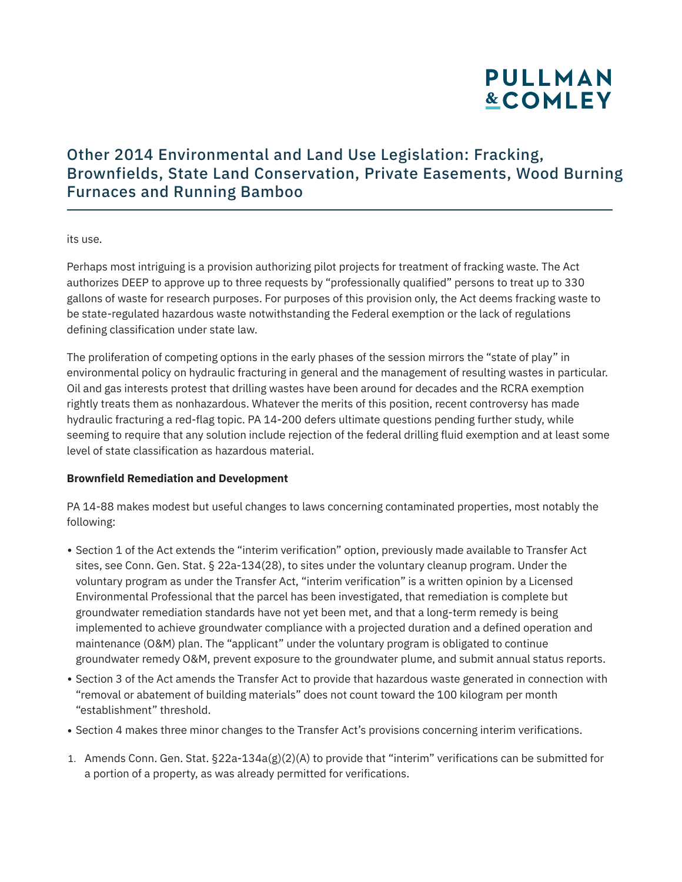## **PULLMAN &COMLEY**

### Other 2014 Environmental and Land Use Legislation: Fracking, Brownfields, State Land Conservation, Private Easements, Wood Burning Furnaces and Running Bamboo

its use.

Perhaps most intriguing is a provision authorizing pilot projects for treatment of fracking waste. The Act authorizes DEEP to approve up to three requests by "professionally qualified" persons to treat up to 330 gallons of waste for research purposes. For purposes of this provision only, the Act deems fracking waste to be state-regulated hazardous waste notwithstanding the Federal exemption or the lack of regulations defining classification under state law.

The proliferation of competing options in the early phases of the session mirrors the "state of play" in environmental policy on hydraulic fracturing in general and the management of resulting wastes in particular. Oil and gas interests protest that drilling wastes have been around for decades and the RCRA exemption rightly treats them as nonhazardous. Whatever the merits of this position, recent controversy has made hydraulic fracturing a red-flag topic. PA 14-200 defers ultimate questions pending further study, while seeming to require that any solution include rejection of the federal drilling fluid exemption and at least some level of state classification as hazardous material.

#### **Brownfield Remediation and Development**

PA 14-88 makes modest but useful changes to laws concerning contaminated properties, most notably the following:

- Section 1 of the Act extends the "interim verification" option, previously made available to Transfer Act sites, see Conn. Gen. Stat. § 22a-134(28), to sites under the voluntary cleanup program. Under the voluntary program as under the Transfer Act, "interim verification" is a written opinion by a Licensed Environmental Professional that the parcel has been investigated, that remediation is complete but groundwater remediation standards have not yet been met, and that a long-term remedy is being implemented to achieve groundwater compliance with a projected duration and a defined operation and maintenance (O&M) plan. The "applicant" under the voluntary program is obligated to continue groundwater remedy O&M, prevent exposure to the groundwater plume, and submit annual status reports.
- Section 3 of the Act amends the Transfer Act to provide that hazardous waste generated in connection with "removal or abatement of building materials" does not count toward the 100 kilogram per month "establishment" threshold.
- Section 4 makes three minor changes to the Transfer Act's provisions concerning interim verifications.
- 1. Amends Conn. Gen. Stat. §22a-134a(g)(2)(A) to provide that "interim" verifications can be submitted for a portion of a property, as was already permitted for verifications.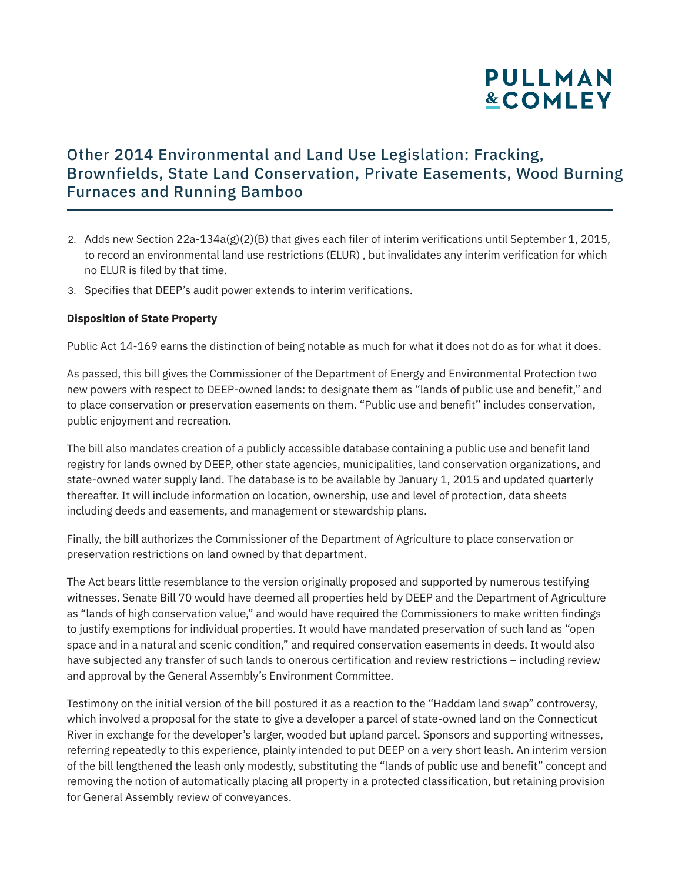

### Other 2014 Environmental and Land Use Legislation: Fracking, Brownfields, State Land Conservation, Private Easements, Wood Burning Furnaces and Running Bamboo

- 2. Adds new Section 22a-134a(g)(2)(B) that gives each filer of interim verifications until September 1, 2015, to record an environmental land use restrictions (ELUR) , but invalidates any interim verification for which no ELUR is filed by that time.
- 3. Specifies that DEEP's audit power extends to interim verifications.

#### **Disposition of State Property**

Public Act 14-169 earns the distinction of being notable as much for what it does not do as for what it does.

As passed, this bill gives the Commissioner of the Department of Energy and Environmental Protection two new powers with respect to DEEP-owned lands: to designate them as "lands of public use and benefit," and to place conservation or preservation easements on them. "Public use and benefit" includes conservation, public enjoyment and recreation.

The bill also mandates creation of a publicly accessible database containing a public use and benefit land registry for lands owned by DEEP, other state agencies, municipalities, land conservation organizations, and state-owned water supply land. The database is to be available by January 1, 2015 and updated quarterly thereafter. It will include information on location, ownership, use and level of protection, data sheets including deeds and easements, and management or stewardship plans.

Finally, the bill authorizes the Commissioner of the Department of Agriculture to place conservation or preservation restrictions on land owned by that department.

The Act bears little resemblance to the version originally proposed and supported by numerous testifying witnesses. Senate Bill 70 would have deemed all properties held by DEEP and the Department of Agriculture as "lands of high conservation value," and would have required the Commissioners to make written findings to justify exemptions for individual properties. It would have mandated preservation of such land as "open space and in a natural and scenic condition," and required conservation easements in deeds. It would also have subjected any transfer of such lands to onerous certification and review restrictions – including review and approval by the General Assembly's Environment Committee.

Testimony on the initial version of the bill postured it as a reaction to the "Haddam land swap" controversy, which involved a proposal for the state to give a developer a parcel of state-owned land on the Connecticut River in exchange for the developer's larger, wooded but upland parcel. Sponsors and supporting witnesses, referring repeatedly to this experience, plainly intended to put DEEP on a very short leash. An interim version of the bill lengthened the leash only modestly, substituting the "lands of public use and benefit" concept and removing the notion of automatically placing all property in a protected classification, but retaining provision for General Assembly review of conveyances.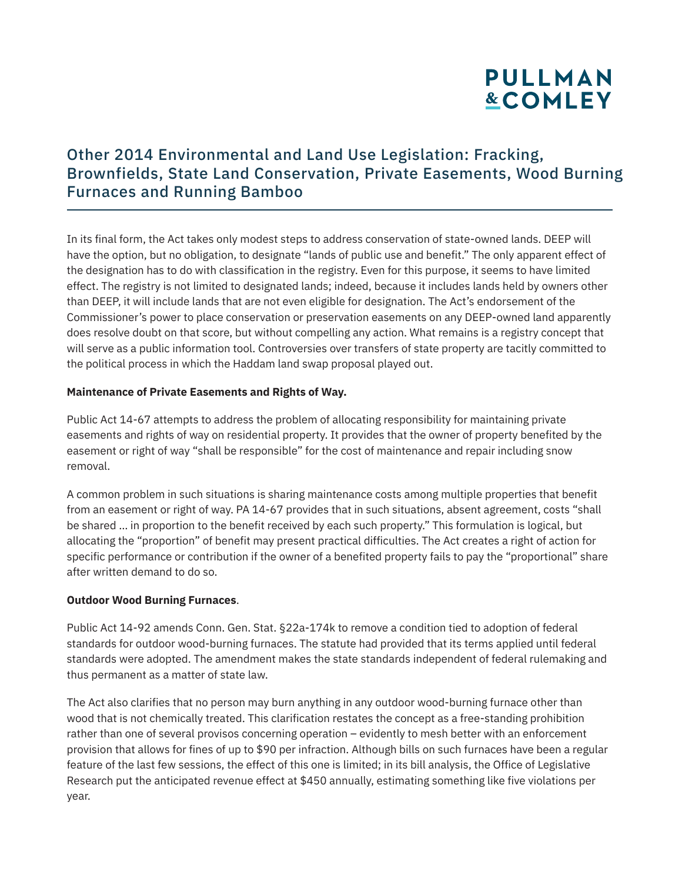## **PULLMAN &COMLEY**

### Other 2014 Environmental and Land Use Legislation: Fracking, Brownfields, State Land Conservation, Private Easements, Wood Burning Furnaces and Running Bamboo

In its final form, the Act takes only modest steps to address conservation of state-owned lands. DEEP will have the option, but no obligation, to designate "lands of public use and benefit." The only apparent effect of the designation has to do with classification in the registry. Even for this purpose, it seems to have limited effect. The registry is not limited to designated lands; indeed, because it includes lands held by owners other than DEEP, it will include lands that are not even eligible for designation. The Act's endorsement of the Commissioner's power to place conservation or preservation easements on any DEEP-owned land apparently does resolve doubt on that score, but without compelling any action. What remains is a registry concept that will serve as a public information tool. Controversies over transfers of state property are tacitly committed to the political process in which the Haddam land swap proposal played out.

#### **Maintenance of Private Easements and Rights of Way.**

Public Act 14-67 attempts to address the problem of allocating responsibility for maintaining private easements and rights of way on residential property. It provides that the owner of property benefited by the easement or right of way "shall be responsible" for the cost of maintenance and repair including snow removal.

A common problem in such situations is sharing maintenance costs among multiple properties that benefit from an easement or right of way. PA 14-67 provides that in such situations, absent agreement, costs "shall be shared … in proportion to the benefit received by each such property." This formulation is logical, but allocating the "proportion" of benefit may present practical difficulties. The Act creates a right of action for specific performance or contribution if the owner of a benefited property fails to pay the "proportional" share after written demand to do so.

#### **Outdoor Wood Burning Furnaces**.

Public Act 14-92 amends Conn. Gen. Stat. §22a-174k to remove a condition tied to adoption of federal standards for outdoor wood-burning furnaces. The statute had provided that its terms applied until federal standards were adopted. The amendment makes the state standards independent of federal rulemaking and thus permanent as a matter of state law.

The Act also clarifies that no person may burn anything in any outdoor wood-burning furnace other than wood that is not chemically treated. This clarification restates the concept as a free-standing prohibition rather than one of several provisos concerning operation – evidently to mesh better with an enforcement provision that allows for fines of up to \$90 per infraction. Although bills on such furnaces have been a regular feature of the last few sessions, the effect of this one is limited; in its bill analysis, the Office of Legislative Research put the anticipated revenue effect at \$450 annually, estimating something like five violations per year.